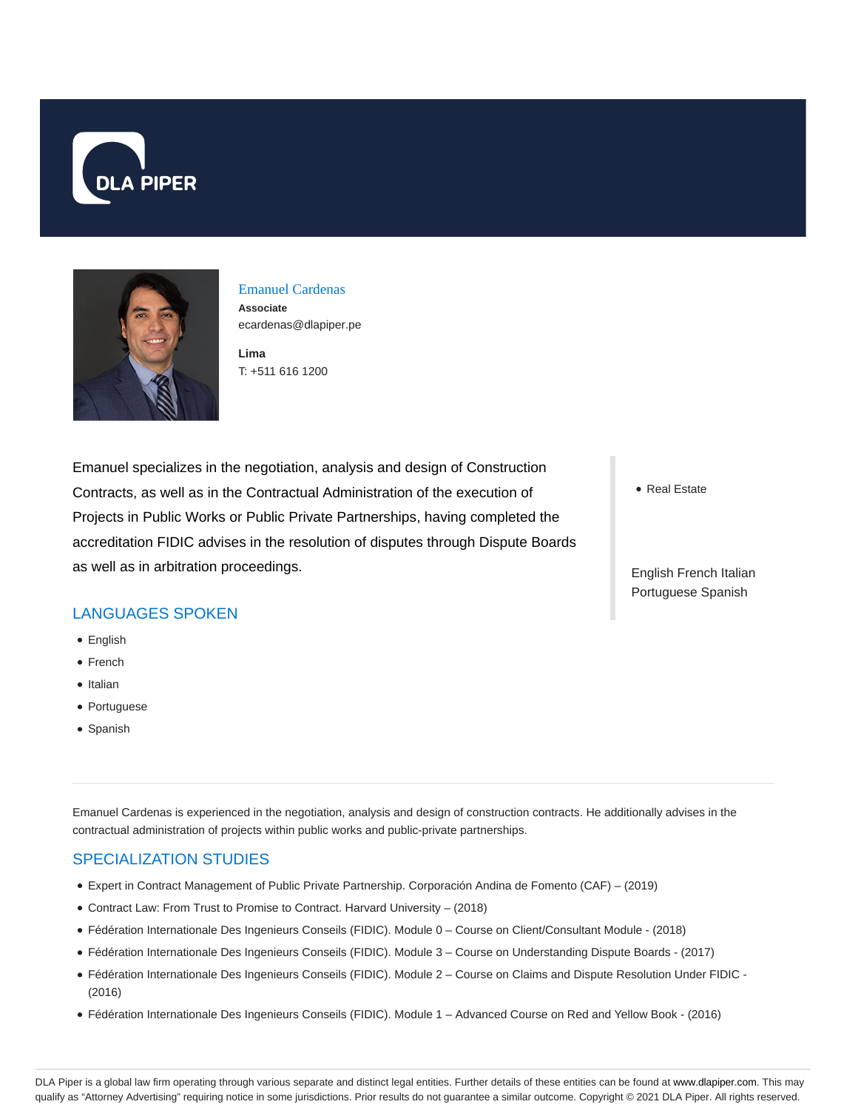



Emanuel Cardenas **Associate** ecardenas@dlapiper.pe

**Lima** T: +511 616 1200

Emanuel specializes in the negotiation, analysis and design of Construction Contracts, as well as in the Contractual Administration of the execution of Projects in Public Works or Public Private Partnerships, having completed the accreditation FIDIC advises in the resolution of disputes through Dispute Boards as well as in arbitration proceedings.

LANGUAGES SPOKEN

- English
- French
- Italian
- Portuguese
- Spanish

Emanuel Cardenas is experienced in the negotiation, analysis and design of construction contracts. He additionally advises in the contractual administration of projects within public works and public-private partnerships.

#### SPECIALIZATION STUDIES

- Expert in Contract Management of Public Private Partnership. Corporación Andina de Fomento (CAF) (2019)
- Contract Law: From Trust to Promise to Contract. Harvard University (2018)
- Fédération Internationale Des Ingenieurs Conseils (FIDIC). Module 0 Course on Client/Consultant Module (2018)
- Fédération Internationale Des Ingenieurs Conseils (FIDIC). Module 3 Course on Understanding Dispute Boards (2017)
- Fédération Internationale Des Ingenieurs Conseils (FIDIC). Module 2 Course on Claims and Dispute Resolution Under FIDIC (2016)
- Fédération Internationale Des Ingenieurs Conseils (FIDIC). Module 1 Advanced Course on Red and Yellow Book (2016)

• Real Estate

English French Italian Portuguese Spanish